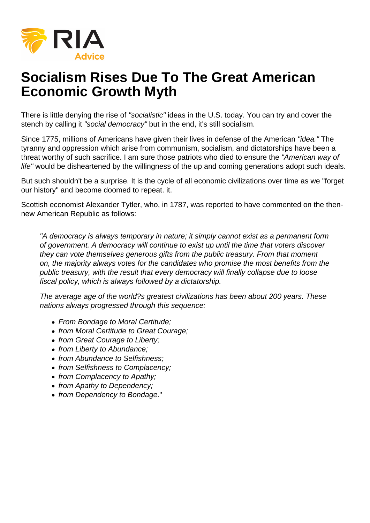

## **Socialism Rises Due To The Great American Economic Growth Myth**

There is little denying the rise of "socialistic" ideas in the U.S. today. You can try and cover the stench by calling it "social democracy" but in the end, it's still socialism.

Since 1775, millions of Americans have given their lives in defense of the American "idea." The tyranny and oppression which arise from communism, socialism, and dictatorships have been a threat worthy of such sacrifice. I am sure those patriots who died to ensure the "American way of life" would be disheartened by the willingness of the up and coming generations adopt such ideals.

But such shouldn't be a surprise. It is the cycle of all economic civilizations over time as we "forget our history" and become doomed to repeat. it.

Scottish economist Alexander Tytler, who, in 1787, was reported to have commented on the thennew American Republic as follows:

"A democracy is always temporary in nature; it simply cannot exist as a permanent form of government. A democracy will continue to exist up until the time that voters discover they can vote themselves generous gifts from the public treasury. From that moment on, the majority always votes for the candidates who promise the most benefits from the public treasury, with the result that every democracy will finally collapse due to loose fiscal policy, which is always followed by a dictatorship.

The average age of the world?s greatest civilizations has been about 200 years. These nations always progressed through this sequence:

- From Bondage to Moral Certitude;
- from Moral Certitude to Great Courage;
- from Great Courage to Liberty;
- from Liberty to Abundance;
- from Abundance to Selfishness:
- from Selfishness to Complacency:
- from Complacency to Apathy;
- from Apathy to Dependency;
- from Dependency to Bondage."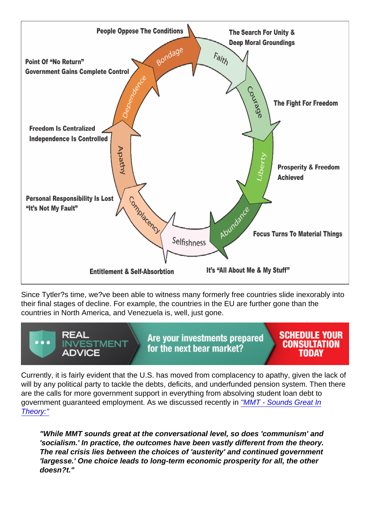Since Tytler?s time, we?ve been able to witness many formerly free countries slide inexorably into their final stages of decline. For example, the countries in the EU are further gone than the countries in North America, and Venezuela is, well, just gone.

Currently, it is fairly evident that the U.S. has moved from complacency to apathy, given the lack of will by any political party to tackle the debts, deficits, and underfunded pension system. Then there are the calls for more government support in everything from absolving student loan debt to government guaranteed employment. As we discussed recently in ["MMT - Sounds Great In](https://realinvestmentadvice.com/mmt-sounds-great-in-theory-but/) [Theory:"](https://realinvestmentadvice.com/mmt-sounds-great-in-theory-but/)

"While MMT sounds great at the conversational level, so does 'communism' and 'socialism.' In practice, the outcomes have been vastly different from the theory. The real crisis lies between the choices of 'austerity' and continued government 'largesse.' One choice leads to long-term economic prosperity for all, the other doesn?t."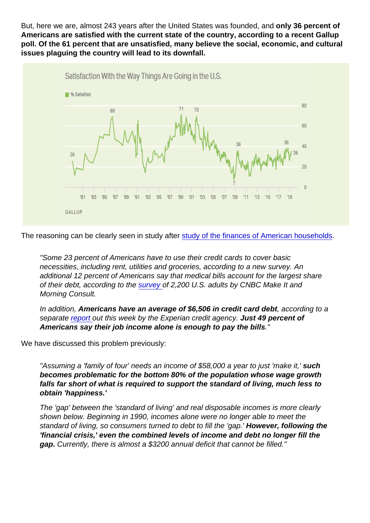But, here we are, almost 243 years after the United States was founded, and only 36 percent of Americans are satisfied with the current state of the country, according to a recent Gallup poll. Of the 61 percent that are unsatisfied, many believe the social, economic, and cultural issues plaguing the country will lead to its downfall.

The reasoning can be clearly seen in study after [study of the finances of American households.](https://www.dailymail.co.uk/news/article-7068395/Nearly-quarter-Americans-going-debt-cover-groceries-rent-basic-necessities.html)

"Some 23 percent of Americans have to use their credit cards to cover basic necessities, including rent, utilities and groceries, according to a new survey. An additional 12 percent of Americans say that medical bills account for the largest share of their debt, according to the [survey](https://www.cnbc.com/2019/05/23/nearly-25-percent-of-americans-are-going-into-debt-trying-to-pay-for-necessities.html) of 2,200 U.S. adults by CNBC Make It and Morning Consult.

In addition, Americans have an average of \$6,506 in credit card debt, according to a separate [report o](https://www.experianplc.com/media/news/2019/state-of-credit-examines-credit-scores-decade-after-financial-crisis/)ut this week by the Experian credit agency. Just 49 percent of Americans say their job income alone is enough to pay the bills . "

We have discussed this problem previously:

"Assuming a 'family of four' needs an income of \$58,000 a year to just 'make it,' such becomes problematic for the bottom 80% of the population whose wage growth falls far short of what is required to support the standard of living, much less to obtain 'happiness.'

The 'gap' between the 'standard of living' and real disposable incomes is more clearly shown below. Beginning in 1990, incomes alone were no longer able to meet the standard of living, so consumers turned to debt to fill the 'gap.' However, following the 'financial crisis,' even the combined levels of income and debt no longer fill the gap. Currently, there is almost a \$3200 annual deficit that cannot be filled."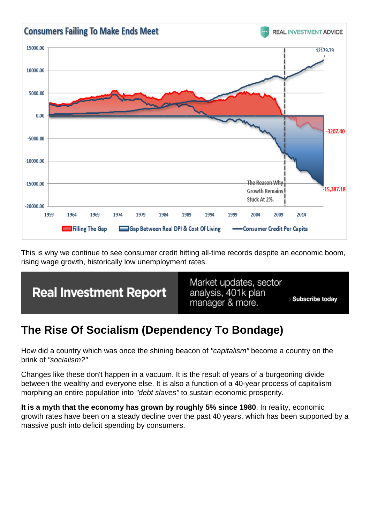This is why we continue to see consumer credit hitting all-time records despite an economic boom, rising wage growth, historically low unemployment rates.

## The Rise Of Socialism (Dependency To Bondage)

How did a country which was once the shining beacon of "capitalism" become a country on the brink of "socialism?"

Changes like these don't happen in a vacuum. It is the result of years of a burgeoning divide between the wealthy and everyone else. It is also a function of a 40-year process of capitalism morphing an entire population into "debt slaves" to sustain economic prosperity.

It is a myth that the economy has grown by roughly 5% since 1980 . In reality, economic growth rates have been on a steady decline over the past 40 years, which has been supported by a massive push into deficit spending by consumers.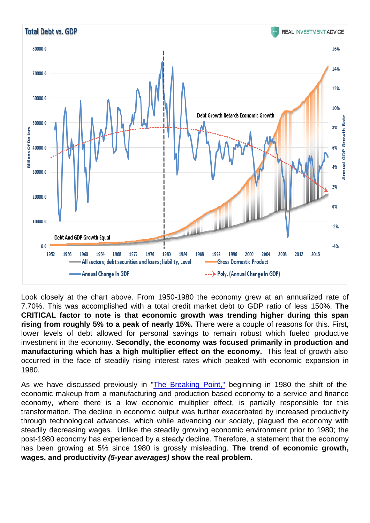Look closely at the chart above. From 1950-1980 the economy grew at an annualized rate of 7.70%. This was accomplished with a total credit market debt to GDP ratio of less 150%. The CRITICAL factor to note is that economic growth was trending higher during this span rising from roughly 5% to a peak of nearly 15%. There were a couple of reasons for this. First, lower levels of debt allowed for personal savings to remain robust which fueled productive investment in the economy. Secondly, the economy was focused primarily in production and manufacturing which has a high multiplier effect on the economy. This feat of growth also occurred in the face of steadily rising interest rates which peaked with economic expansion in 1980.

As we have discussed previously in ["The Breaking Point,"](https://realinvestmentadvice.com/the-breaking-point-death-of-keynes/) beginning in 1980 the shift of the economic makeup from a manufacturing and production based economy to a service and finance economy, where there is a low economic multiplier effect, is partially responsible for this transformation. The decline in economic output was further exacerbated by increased productivity through technological advances, which while advancing our society, plagued the economy with steadily decreasing wages. Unlike the steadily growing economic environment prior to 1980; the post-1980 economy has experienced by a steady decline. Therefore, a statement that the economy has been growing at 5% since 1980 is grossly misleading. The trend of economic growth, wages, and productivity (5-year averages) show the real problem.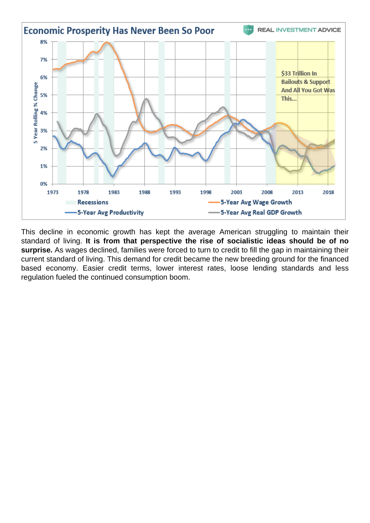This decline in economic growth has kept the average American struggling to maintain their standard of living. It is from that perspective the rise of socialistic ideas should be of no surprise. As wages declined, families were forced to turn to credit to fill the gap in maintaining their current standard of living. This demand for credit became the new breeding ground for the financed based economy. Easier credit terms, lower interest rates, loose lending standards and less regulation fueled the continued consumption boom.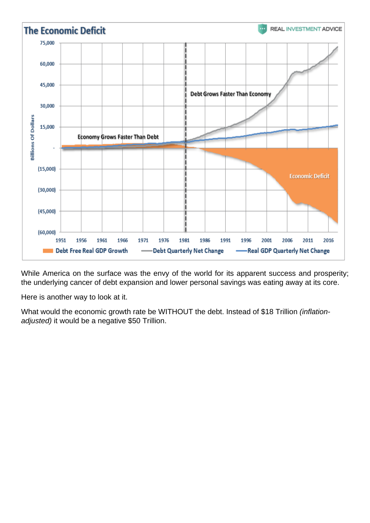While America on the surface was the envy of the world for its apparent success and prosperity; the underlying cancer of debt expansion and lower personal savings was eating away at its core.

Here is another way to look at it.

What would the economic growth rate be WITHOUT the debt. Instead of \$18 Trillion (inflationadjusted) it would be a negative \$50 Trillion.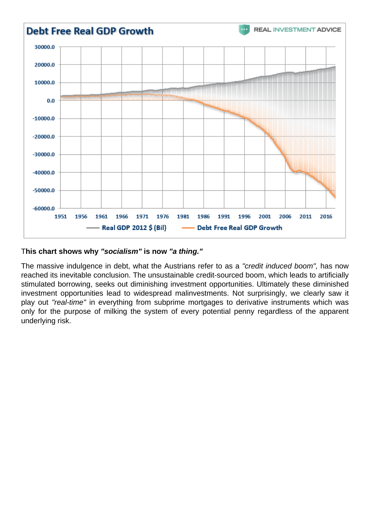This chart shows why "socialism" is now "a thing."

The massive indulgence in debt, what the Austrians refer to as a "credit induced boom", has now reached its inevitable conclusion. The unsustainable credit-sourced boom, which leads to artificially stimulated borrowing, seeks out diminishing investment opportunities. Ultimately these diminished investment opportunities lead to widespread malinvestments. Not surprisingly, we clearly saw it play out "real-time" in everything from subprime mortgages to derivative instruments which was only for the purpose of milking the system of every potential penny regardless of the apparent underlying risk.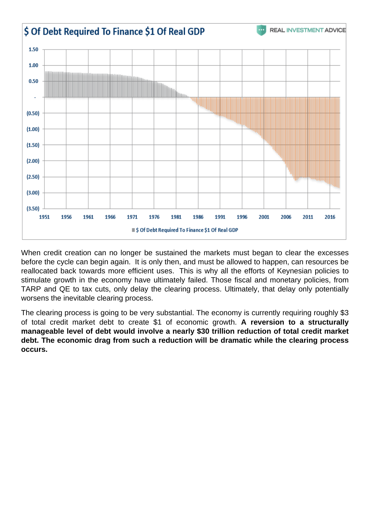When credit creation can no longer be sustained the markets must began to clear the excesses before the cycle can begin again. It is only then, and must be allowed to happen, can resources be reallocated back towards more efficient uses. This is why all the efforts of Keynesian policies to stimulate growth in the economy have ultimately failed. Those fiscal and monetary policies, from TARP and QE to tax cuts, only delay the clearing process. Ultimately, that delay only potentially worsens the inevitable clearing process.

The clearing process is going to be very substantial. The economy is currently requiring roughly \$3 of total credit market debt to create \$1 of economic growth. A reversion to a structurally manageable level of debt would involve a nearly \$30 trillion reduction of total credit market debt. The economic drag from such a reduction will be dramatic while the clearing process occurs.